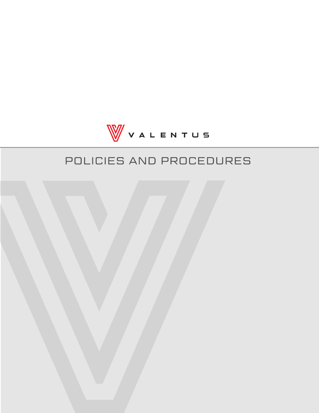

# POLICIES AND PROCEDURES

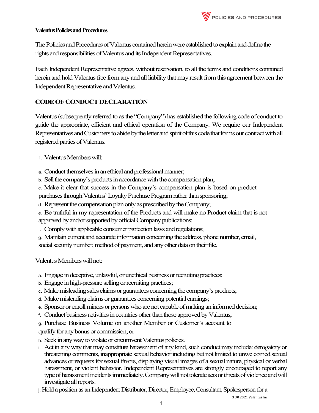#### **Valentus Policies and Procedures**

The Policies and Procedures of Valentus contained herein were established to explain and define the rights and responsibilities of Valentus and its Independent Representatives.

Each Independent Representative agrees, without reservation, to all the terms and conditions contained herein and hold Valentus free from any and all liability that may result from this agreement between the Independent Representative and Valentus.

# **CODEOFCONDUCT DECLARATION**

Valentus (subsequently referred to as the "Company") has established the following code of conduct to guide the appropriate, efficient and ethical operation of the Company. We require our Independent Representatives and Customers to abide by the letter and spirit of this code that forms our contract with all registered parties of Valentus.

1. Valentus Members will:

a. Conduct themselves in an ethical and professional manner;

b. Sell the company's products in accordance with the compensation plan;

c. Make it clear that success in the Company's compensation plan is based on product purchases through Valentus' Loyalty Purchase Program rather than sponsoring;

d. Represent the compensation plan only as prescribed by the Company;

e. Be truthful in my representation of the Products and will make no Product claim that is not approved by and/or supported by official Company publications;

f. Comply with applicable consumer protection laws and regulations;

g. Maintain current and accurate information concerning the address, phone number, email, social security number, method of payment, and any other data on their file.

Valentus Members will not:

- a. Engage in deceptive, unlawful, or unethical business or recruiting practices;
- b. Engage in high-pressure selling or recruiting practices;
- c. Make misleading sales claims or guarantees concerning the company's products;
- d. Make misleading claims or guarantees concerning potential earnings;
- e. Sponsor or enroll minors or persons who are not capable of making an informed decision;
- f. Conduct business activities in countries other than those approved by Valentus;
- g. Purchase Business Volume on another Member or Customer's account to

qualify for any bonus or commission; or

- h. Seek in any way to violate or circumvent Valentus policies.
- i. Act in any way that may constitute harassment of any kind, such conduct may include: derogatory or threatening comments, inappropriate sexual behavior including but not limited to unwelcomed sexual advances or requests for sexual favors, displaying visual images of a sexual nature, physical or verbal harassment, or violent behavior. Independent Representatives are strongly encouraged to report any type of harassment incidents immediately. Company will not tolerate acts or threats of violence and will investigate all reports.

j. Hold a position as an Independent Distributor, Director, Employee, Consultant, Spokesperson for a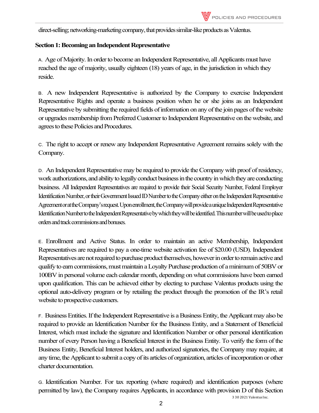direct-selling; networking-marketing company, that provides similar-like products as Valentus.

#### **Section 1: Becoming an Independent Representative**

A. Age of Majority. In order to become an Independent Representative, all Applicants must have reached the age of majority, usually eighteen (18) years of age, in the jurisdiction in which they reside.

B. A new Independent Representative is authorized by the Company to exercise Independent Representative Rights and operate a business position when he or she joins as an Independent Representative by submitting the required fields of information on any of the join pages of the website or upgrades membership fromPreferred Customer to Independent Representative on the website, and agrees to these Policies and Procedures.

C. The right to accept or renew any Independent Representative Agreement remains solely with the Company.

D. An Independent Representative may be required to provide the Company with proof of residency, workauthorizations, and ability to legally conduct business in the country in which they are conducting business. All Independent Representatives are required to provide their Social Security Number, Federal Employer Identification Number, or their Government Issued ID Number to the Companyeither on the Independent Representative Agreement or at the Company's request. Upon enrollment, the Company will provide a unique Independent Representative Identification Number to the Independent Representativeby which they will be identified. This number will be used to place orders and track commissions and bonuses.

E. Enrollment and Active Status. In order to maintain an active Membership, Independent Representatives are required to pay a one-time website activation fee of \$20.00 (USD). Independent Representatives are not required to purchase product themselves, however in order to remain active and qualify to earn commissions, must maintain a Loyalty Purchase production of a minimum of 50BV or 100BV in personal volume each calendar month, depending on what commissions have been earned upon qualification. This can be achieved either by electing to purchase Valentus products using the optional auto-delivery program or by retailing the product through the promotion of the IR's retail website to prospective customers.

F. Business Entities. If the Independent Representative is a Business Entity, the Applicant may also be required to provide an Identification Number for the Business Entity, and a Statement of Beneficial Interest, which must include the signature and Identification Number or other personal identification number of every Person having a Beneficial Interest in the Business Entity. To verify the form of the Business Entity, Beneficial Interest holders, and authorized signatories, the Company may require, at any time, the Applicant to submit a copy of its articles of organization, articles of incorporation or other charter documentation.

G. Identification Number. For tax reporting (where required) and identification purposes (where permitted by law), the Company requires Applicants, in accordance with provision D of this Section

3 30 2021 Valentus Inc.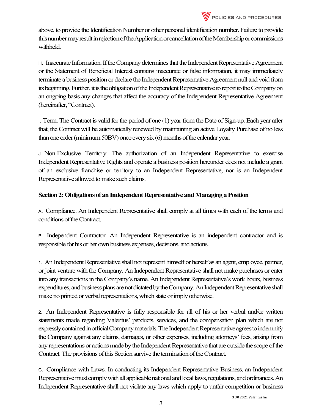above, to provide the Identification Number or other personal identification number. Failure to provide this number may result in rejection of the Application or cancellationof the Membership or commissions withheld.

H. Inaccurate Information. If the Company determines that the Independent Representative Agreement or the Statement of Beneficial Interest contains inaccurate or false information, it may immediately terminate abusiness position or declare the Independent Representative Agreement null and void from itsbeginning. Further, it is the obligation of the Independent Representative toreport tothe Company on an ongoing basis any changes that affect the accuracy of the Independent Representative Agreement (hereinafter, "Contract).

I. Term. The Contract is valid for the period of one (1) year from the Date of Sign-up. Each year after that, the Contract will be automatically renewed by maintaining an active Loyalty Purchase of no less than one order (minimum  $50BV$ ) once every six  $(6)$  months of the calendar year.

J. Non-Exclusive Territory. The authorization of an Independent Representative to exercise Independent Representative Rights and operate a business position hereunder does not include a grant of an exclusive franchise or territory to an Independent Representative, nor is an Independent Representative allowed to make such claims.

# **Section 2: Obligations of an Independent Representative and Managing a Position**

A. Compliance. An Independent Representative shall comply at all times with each of the terms and conditions of the Contract.

B. Independent Contractor. An Independent Representative is an independent contractor and is responsible for his or her own business expenses, decisions, and actions.

1. An Independent Representative shall not represent himself or herself as an agent, employee, partner, or joint venture with the Company. An Independent Representative shall not make purchases or enter into any transactions in the Company's name. An Independent Representative's work hours, business expenditures, and business plans are not dictated by the Company. An Independent Representative shall make no printed or verbal representations, which state or imply otherwise.

2. An Independent Representative is fully responsible for all of his or her verbal and/or written statements made regarding Valentus' products, services, and the compensation plan which are not expressly contained in official Company materials. The Independent Representative agrees to indemnify the Company against any claims, damages, or other expenses, including attorneys' fees, arising from any representations or actions made by the Independent Representative thatare outside the scope ofthe Contract. The provisions of this Section survive the termination of the Contract.

C. Compliance with Laws. In conducting its Independent Representative Business, an Independent Representative must comply with all applicable national and local laws, regulations, and ordinances. An Independent Representative shall not violate any laws which apply to unfair competition or business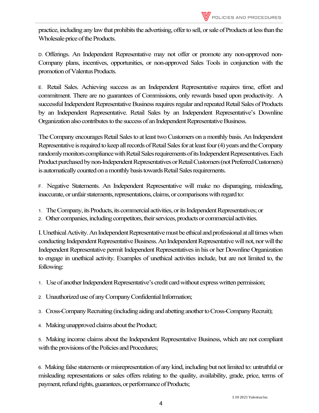

practice, including any law that prohibits the advertising, offer to sell, or sale of Products at less than the Wholesale price of the Products.

D. Offerings. An Independent Representative may not offer or promote any non-approved non-Company plans, incentives, opportunities, or non-approved Sales Tools in conjunction with the promotion of Valentus Products.

E. Retail Sales. Achieving success as an Independent Representative requires time, effort and commitment. There are no guarantees of Commissions, only rewards based upon productivity. A successful Independent Representative Business requires regular and repeated Retail Sales of Products by an Independent Representative. Retail Sales by an Independent Representative's Downline Organizationalso contributes to the success of an Independent Representative Business.

The Company encourages Retail Sales to at least two Customers on a monthly basis. An Independent Representative is required to keep all records of Retail Sales for at least four (4) years and the Company randomly monitors compliance with Retail Sales requirements of its Independent Representatives. Each Product purchased by non-Independent Representatives or Retail Customers (not Preferred Customers) is automatically counted on a monthly basis towards Retail Sales requirements.

F. Negative Statements. An Independent Representative will make no disparaging, misleading, inaccurate, or unfair statements, representations, claims, or comparisons with regard to:

- 1. The Company, its Products, its commercial activities, or its Independent Representatives; or
- 2. Other companies, including competitors, their services, products or commercial activities.

I. Unethical Activity. An Independent Representative must be ethical and professional at all times when conducting Independent Representative Business. An Independent Representative will not, nor will the Independent Representative permit Independent Representatives in his or her Downline Organization to engage in unethical activity. Examples of unethical activities include, but are not limited to, the following:

1. Use of another Independent Representative's credit card without express written permission;

- 2. Unauthorized use of any Company Confidential Information;
- 3. Cross-Company Recruiting (includingaiding and abetting another to Cross-Company Recruit);

4. Making unapproved claims about the Product;

5. Making income claims about the Independent Representative Business, which are not compliant with the provisions of the Policies and Procedures;

6. Making false statements or misrepresentation of any kind, including but not limited to: untruthful or misleading representations or sales offers relating to the quality, availability, grade, price, terms of payment, refund rights, guarantees, or performance of Products;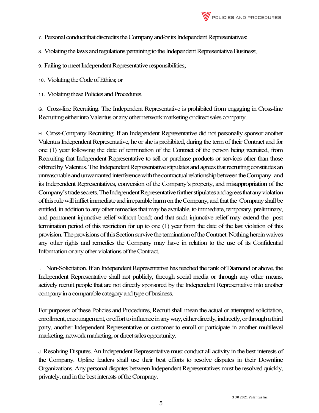- 7. Personal conduct that discredits the Company and/or its Independent Representatives;
- 8. Violating the laws and regulations pertaining to the Independent Representative Business;
- 9. Failing to meet Independent Representative responsibilities;
- 10. Violating the Code of Ethics; or
- 11. Violating these Policies and Procedures.

G. Cross-line Recruiting. The Independent Representative is prohibited from engaging in Cross-line Recruiting either into Valentus or any other network marketing or direct sales company.

H. Cross-Company Recruiting. If an Independent Representative did not personally sponsor another Valentus Independent Representative, he or she is prohibited, during the term oftheir Contract and for one (1) year following the date of termination of the Contract of the person being recruited, from Recruiting that Independent Representative to sell or purchase products or services other than those offeredby Valentus. The Independent Representative stipulates and agrees thatrecruiting constitutes an unreasonable and unwarranted interference with the contractual relationship between the Company and its Independent Representatives, conversion of the Company's property, and misappropriation of the Company's trade secrets. The Independent Representative further stipulates and agrees that any violation of this rule will inflict immediate and irreparable harm on the Company, and that the Company shall be entitled, in addition to any other remedies that may be available, to immediate, temporary, preliminary, and permanent injunctive relief without bond; and that such injunctive relief may extend the post termination period of this restriction for up to one (1) year from the date of the last violation of this provision. The provisions of this Section survive the termination of the Contract. Nothing herein waives any other rights and remedies the Company may have in relation to the use of its Confidential Information or any other violations of the Contract.

I. Non-Solicitation. If an Independent Representative has reached the rank of Diamond or above, the Independent Representative shall not publicly, through social media or through any other means, actively recruit people that are not directly sponsored by the Independent Representative into another company in a comparable category and type of business.

For purposes of these Policies and Procedures, Recruit shall mean the actual or attempted solicitation, enrollment, encouragement, or effort to influence in any way, either directly, indirectly, or through a third party, another Independent Representative or customer to enroll or participate in another multilevel marketing, network marketing, or direct sales opportunity.

J. Resolving Disputes. An Independent Representative must conduct all activity in the best interests of the Company. Upline leaders shall use their best efforts to resolve disputes in their Downline Organizations. Any personal disputes between Independent Representatives must be resolved quickly, privately, and in the best interests of the Company.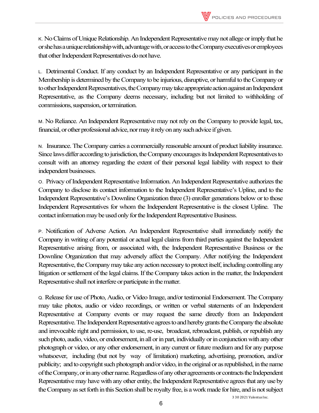K. No Claims of Unique Relationship. An Independent Representative may not allege or imply that he or shehas a unique relationship with, advantage with, or access to the Company executives or employees that other Independent Representatives do not have.

L. Detrimental Conduct. If any conduct by an Independent Representative or any participant in the Membership is determined by the Company to be injurious, disruptive, or harmful to the Company or to other Independent Representatives, the Company may take appropriate action against an Independent Representative, as the Company deems necessary, including but not limited to withholding of commissions, suspension, or termination.

M. No Reliance. An Independent Representative may not rely on the Company to provide legal, tax, financial, or other professional advice, nor may it rely on any such advice if given.

N. Insurance. The Company carries a commercially reasonable amount of product liability insurance. Since laws differ according to jurisdiction, the Company encourages its Independent Representatives to consult with an attorney regarding the extent of their personal legal liability with respect to their independent businesses.

O. Privacy of Independent Representative Information. An Independent Representative authorizes the Company to disclose its contact information to the Independent Representative's Upline, and to the Independent Representative's Downline Organization three (3) enroller generations below or to those Independent Representatives for whom the Independent Representative is the closest Upline. The contact information may be used only for the Independent Representative Business.

P. Notification of Adverse Action. An Independent Representative shall immediately notify the Company in writing of any potential or actual legal claims from third parties against the Independent Representative arising from, or associated with, the Independent Representative Business or the Downline Organization that may adversely affect the Company. After notifying the Independent Representative, the Company may take any action necessary to protect itself, including controlling any litigation or settlement of the legal claims. If the Company takes action in the matter, the Independent Representative shall not interfere or participate in the matter.

Q. Release for use of Photo, Audio, or Video Image, and/or testimonial Endorsement. The Company may take photos, audio or video recordings, or written or verbal statements of an Independent Representative at Company events or may request the same directly from an Independent Representative. The Independent Representative agrees to and hereby grants the Company the absolute and irrevocable right and permission, to use, re-use, broadcast, rebroadcast, publish, or republish any such photo, audio, video, or endorsement, in all or in part, individually or in conjunction with any other photograph or video, or any other endorsement, in any current or future medium and for any purpose whatsoever, including (but not by way of limitation) marketing, advertising, promotion, and/or publicity; and to copyright such photograph and/or video, in the original or as republished, in the name of the Company, or in any other name. Regardless of any other agreements or contracts the Independent Representative may have with any other entity, the Independent Representative agrees that any use by the Company as set forth in this Section shall be royalty free, is a work made for hire, and is not subject

3 30 2021 Valentus Inc.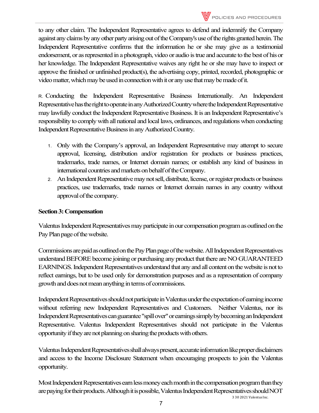

to any other claim. The Independent Representative agrees to defend and indemnify the Company against any claims by any other party arising out of the Company's use of the rights granted herein. The Independent Representative confirms that the information he or she may give as a testimonial endorsement, or as represented in a photograph, video or audio is true and accurate to the best of his or her knowledge. The Independent Representative waives any right he or she may have to inspect or approve the finished or unfinished product(s), the advertising copy, printed, recorded, photographic or videomatter, which may be used in connection with it or any use that may be made of it.

R. Conducting the Independent Representative Business Internationally. An Independent Representative has the right to operate in any Authorized Country where the Independent Representative may lawfully conduct the Independent Representative Business. It is an Independent Representative's responsibility to comply with all national and local laws, ordinances, and regulations when conducting Independent Representative Business in any Authorized Country.

- 1. Only with the Company's approval, an Independent Representative may attempt to secure approval, licensing, distribution and/or registration for products or business practices, trademarks, trade names, or Internet domain names; or establish any kind of business in international countries and markets on behalf of the Company.
- 2. An Independent Representative may not sell, distribute, license, or register products or business practices, use trademarks, trade names or Internet domain names in any country without approval of the company.

## **Section3: Compensation**

Valentus Independent Representatives may participate in our compensation program as outlined on the Pay Plan page of the website.

Commissions are paid as outlined on the Pay Plan page of the website. All Independent Representatives understand BEFORE become joining or purchasing any product that there are NO GUARANTEED EARNINGS. Independent Representatives understand that any and all content on the website is not to reflect earnings, but to be used only for demonstration purposes and as a representation of company growth and does not mean anything in terms of commissions.

Independent Representatives should not participate in Valentus under the expectation of earning income without referring new Independent Representatives and Customers. Neither Valentus, nor its Independent Representatives can guarantee "spill over" or earnings simply by becoming an Independent Representative. Valentus Independent Representatives should not participate in the Valentus opportunity ifthey are not planning on sharing the products with others.

Valentus Independent Representatives shall always present, accurate information like proper disclaimers and access to the Income Disclosure Statement when encouraging prospects to join the Valentus opportunity.

Most Independent Representatives earn less money each month in the compensation program than they arepaying for their products. Although it is possible, Valentus Independent Representatives should NOT

3 30 2021 Valentus Inc.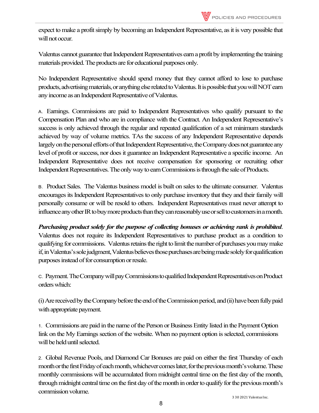expect to make a profit simply by becoming an Independent Representative, as it is very possible that will not occur.

Valentus cannot guarantee that Independent Representatives earn a profit by implementing the training materials provided. The products are for educational purposes only.

No Independent Representative should spend money that they cannot afford to lose to purchase products, advertising materials, or anything else related to Valentus. It is possible that you will NOT earn anyincome as an Independent Representative of Valentus.

A. Earnings. Commissions are paid to Independent Representatives who qualify pursuant to the Compensation Plan and who are in compliance with the Contract. An Independent Representative's success is only achieved through the regular and repeated qualification of a set minimum standards achieved by way of volume metrics. TAs the success of any Independent Representative depends largely on the personal efforts of that Independent Representative, the Company does not guarantee any level of profit or success, nor does it guarantee an Independent Representative a specific income. An Independent Representative does not receive compensation for sponsoring or recruiting other Independent Representatives. The only way to earn Commissions is through the sale of Products.

B. Product Sales. The Valentus business model is built on sales to the ultimate consumer. Valentus encourages its Independent Representatives to only purchase inventory that they and their family will personally consume or will be resold to others. Independent Representatives must never attempt to influence any other IR to buy more products than they can reasonably use or sell to customers in a month.

*Purchasing product solely for the purpose of collecting bonuses or achieving rank is prohibited*. Valentus does not require its Independent Representatives to purchase product as a condition to qualifying for commissions. Valentus retains the right to limit the number of purchases you may make if, in Valentus's sole judgment, Valentus believes those purchases are being made solely for qualification

C. Payment. The Company will pay Commissions to qualified Independent Representatives on Product orderswhich:

purposes instead of for consumption or resale.

(i) Are received by the Company before the end of the Commission period, and (ii) have been fully paid with appropriate payment.

1. Commissions are paid in the name of the Person or Business Entity listed in the Payment Option link on the My Earnings section of the website. When no payment option is selected, commissions will be held until selected.

2. Global Revenue Pools, and Diamond Car Bonuses are paid on either the first Thursday of each month or the first Friday of each month, whichever comes later, for the previous month's volume.These monthly commissions will be accumulated from midnight central time on the first day of the month, through midnight central time on the first day of the month in order to qualify for the previous month's commission volume.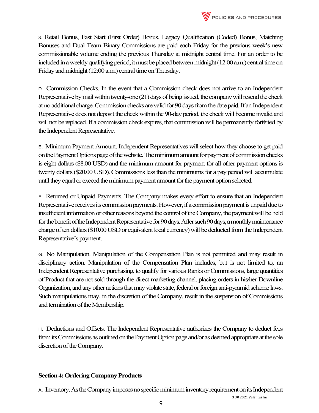

3. Retail Bonus, Fast Start (First Order) Bonus, Legacy Qualification (Coded) Bonus, Matching Bonuses and Dual Team Binary Commissions are paid each Friday for the previous week's new commissionable volume ending the previous Thursday at midnight central time. For an order to be included in a weekly qualifying period, it must be placed between midnight (12:00 a.m.) central time on Friday and midnight (12:00 a.m.) central time on Thursday.

D. Commission Checks. In the event that a Commission check does not arrive to an Independent Representative by mail within twenty-one(21) days of being issued, the company will resend the check at no additional charge. Commission checks are valid for 90 days from the date paid. If an Independent Representative does not deposit the check within the 90-day period, the check will become invalidand will not be replaced. If a commission check expires, that commission will be permanently forfeited by the Independent Representative.

E. Minimum Payment Amount. Independent Representatives will select how they choose to get paid onthe Payment Options page of the website. The minimum amountfor payment of commission checks is eight dollars (\$8.00 USD) and the minimum amount for payment for all other payment options is twenty dollars (\$20.00 USD). Commissions less than the minimums for a pay period will accumulate until they equal or exceed the minimum payment amount for the payment option selected.

F. Returned or Unpaid Payments. The Company makes every effort to ensure that an Independent Representative receives its commission payments. However, if acommission payment is unpaid due to insufficient information or other reasons beyond the control of the Company, the payment will be held for the benefit of the Independent Representative for 90 days. After such 90 days, a monthly maintenance charge of ten dollars (\$10.00 USD or equivalent local currency) will be deducted from the Independent Representative's payment.

G. No Manipulation. Manipulation of the Compensation Plan is not permitted and may result in disciplinary action. Manipulation of the Compensation Plan includes, but is not limited to, an Independent Representative purchasing, to qualify for various Ranks or Commissions, large quantities of Product that are not sold through the direct marketing channel, placing orders in his/her Downline Organization, and any other actions that may violate state, federal or foreign anti-pyramid scheme laws. Such manipulations may, in the discretion of the Company, result in the suspension of Commissions and termination of the Membership.

H. Deductions and Offsets. The Independent Representative authorizes the Company to deduct fees from its Commissions as outlined on the Payment Option page and/or as deemed appropriate at the sole discretion of the Company.

#### **Section 4: Ordering Company Products**

A. Inventory. As the Company imposes no specific minimum inventory requirement on its Independent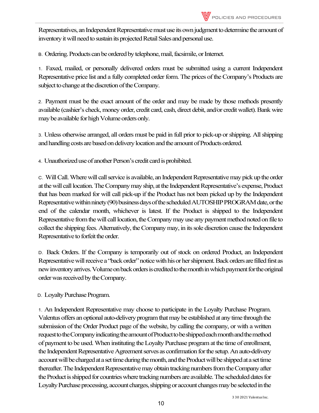Representatives, an Independent Representative must use its own judgment to determine the amount of inventory it will need to sustain its projected Retail Sales and personal use.

B. Ordering. Products can be ordered by telephone, mail, facsimile, or Internet.

1. Faxed, mailed, or personally delivered orders must be submitted using a current Independent Representative price list and a fully completed order form. The prices of the Company's Products are subject to change at the discretion of the Company.

2. Payment must be the exact amount of the order and may be made by those methods presently available (cashier's check, money order, credit card, cash, direct debit, and/or credit wallet). Bank wire maybe available for high Volume orders only.

3. Unless otherwise arranged, all orders must be paid in full prior to pick-up or shipping. All shipping and handling costs are based on delivery location and the amount of Products ordered.

4. Unauthorized use of another Person's credit card is prohibited.

C. Will Call. Where will call service is available, an Independent Representative may pick up the order at thewill call location. The Company mayship, at the Independent Representative's expense, Product that has been marked for will call pick-up if the Product has not been picked up by the Independent Representative within ninety (90) business days of the scheduled AUTOSHIP PROGRAM date, or the end of the calendar month, whichever is latest. If the Product is shipped to the Independent Representative from the will call location, the Company may use any payment method noted on file to collect the shipping fees. Alternatively, the Company may, in its sole discretion cause the Independent Representative to forfeit the order.

D. Back Orders. If the Company is temporarily out of stock on ordered Product, an Independent Representative will receive a "back order" notice with his or her shipment. Back orders are filled first as newinventory arrives. Volume on back orders is credited to the month in which payment for the original order was received by the Company.

D. Loyalty Purchase Program.

1. An Independent Representative may choose to participate in the Loyalty Purchase Program. Valentus offers an optional auto-delivery program that may be established at any time through the submission of the Order Product page of the website, by calling the company, or with a written request to the Company indicating the amount of Product to be shipped each month and the method of payment to be used. When instituting the Loyalty Purchase program at the time of enrollment, the Independent Representative Agreement serves as confirmation for the setup. An auto-delivery account will be charged at a set time during the month, and the Product will be shipped at a set time thereafter. The Independent Representative may obtain tracking numbers from the Company after the Product is shipped for countries where tracking numbers are available. The scheduled dates for Loyalty Purchase processing, account charges, shipping or account changes may be selected in the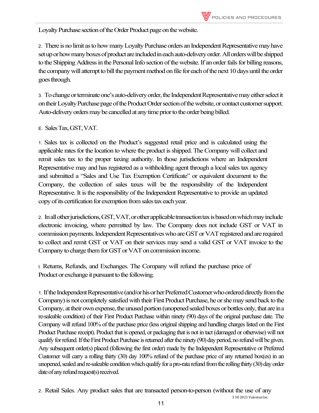Loyalty Purchase section of the Order Product page on the website.

2. There is no limit as to how many Loyalty Purchase orders an Independent Representative may have set up or how many boxesof product are included in each auto-delivery order. All orders will be shipped to the Shipping Address in the Personal Info section of the website. If an order fails for billing reasons, the company will attempt to bill the payment method on file for each of the next 10 days until the order goes through.

3. To change or terminate one's auto-delivery order, the Independent Representative may either select it on their Loyalty Purchase page of the Product Order section of the website, or contact customer support. Auto-delivery orders may be cancelled at any time prior to the order being billed.

E. Sales Tax, GST, VAT.

1. Sales tax is collected on the Product's suggested retail price and is calculated using the applicable rates for the location to where the product is shipped. The Company will collect and remit sales tax to the proper taxing authority. In those jurisdictions where an Independent Representative may and has registered as a withholding agent through a local sales tax agency and submitted a "Sales and Use Tax Exemption Certificate" or equivalent document to the Company, the collection of sales taxes will be the responsibility of the Independent Representative. It is the responsibility of the Independent Representative to provide an updated copy of its certification for exemption from sales tax each year.

2. In all other jurisdictions, GST, VAT, or other applicable transaction tax is based on which may include electronic invoicing, where permitted by law. The Company does not include GST or VAT in commission payments. Independent Representatives who are GST or VAT registered and are required to collect and remit GST or VAT on their services may send a valid GST or VAT invoice to the Company to charge them for GST or VAT on commission income.

I. Returns, Refunds, and Exchanges. The Company will refund the purchase price of Product or exchange it pursuant to the following.

1.If the Independent Representative (and/or his or her Preferred Customer who ordered directly from the Company) is not completely satisfied with their First Product Purchase, he or she may send back to the Company, at their own expense, the unused portion (unopened sealed boxes or bottles only, that are in a re-saleable condition) of their First Product Purchase within ninety (90) days of the original purchase date. The Company will refund 100% of the purchase price (less original shipping and handling charges listed on the First Product Purchase receipt). Product that is opened, or packaging that is not in tact (damaged or otherwise) will not qualify for refund. If the First Product Purchase is returned after the ninety (90) day period, no refund will be given. Any subsequent order(s) placed (following the first order) made by the Independent Representative or Preferred Customer will carry a rolling thirty (30) day 100% refund of the purchase price of any returned box(es) in an unopened, sealed and re-saleable condition which qualify for a pro-rata refund from the rolling thirty (30) day order date of any refund request(s) received.

2. Retail Sales. Any product sales that are transacted person-to-person (without the use of any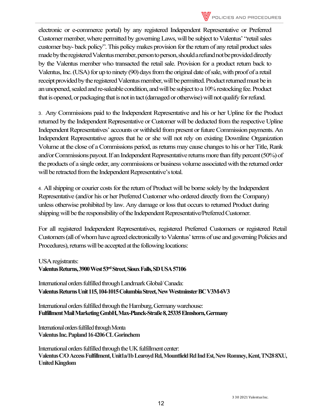

electronic or e-commerce portal) by any registered Independent Representative or Preferred Customer member, where permitted by governing Laws, will be subject to Valentus' "retail sales customer buy- back policy". This policy makes provision for the return of any retail product sales made by the registered Valentus member, person to person, should a refund not be provided directly by the Valentus member who transacted the retail sale. Provision for a product return back to Valentus, Inc. (USA) for up to ninety (90) days from the original date of sale, with proof of a retail receipt provided by the registered Valentus member, will be permitted. Product returned must be in an unopened, sealed and re-saleable condition, and will be subject to a 10% restocking fee. Product that is opened, or packaging that is not in tact (damaged or otherwise) will not qualify for refund.

3. Any Commissions paid to the Independent Representative and his or her Upline for the Product returned by the Independent Representative or Customer will be deducted from the respective Upline Independent Representatives' accounts or withheld from present or future Commission payments. An Independent Representative agrees that he or she will not rely on existing Downline Organization Volume at the close of a Commissions period, as returns may cause changes to his or her Title, Rank and/or Commissions payout.If an Independent Representative returns more than fifty percent (50%) of the products of a single order, any commissions or business volume associated with the returned order will be retracted from the Independent Representative's total.

4. All shipping or courier costs for the return of Product will be borne solely by the Independent Representative (and/or his or her Preferred Customer who ordered directly from the Company) unless otherwise prohibited by law. Any damage or loss that occurs to returned Product during shipping will be the responsibility of the Independent Representative/Preferred Customer.

For all registered Independent Representatives, registered Preferred Customers or registered Retail Customers (all of whom have agreed electronically to Valentus' terms of use and governing Policies and Procedures), returns will be accepted at the following locations:

USA registrants:

Valentus Returns, 3900 West 53<sup>rd</sup> Street, Sioux Falls, SD USA 57106

International orders fulfilled through Landmark Global/ Canada: **Valentus Returns Unit 115, 104-1015 Columbia Street, New Westminster BC V3M-6V3**

International orders fulfilled through the Hamburg, Germany warehouse: **Fulfillment Mail Marketing GmbH, Max-Planck-Straße 8, 25335 Elmshorn, Germany**

International orders fulfilled through Monta **Valentus Inc. Papland 16 4206 CL Gorinchem**

International orders fulfilled through the UK fulfillment center: **Valentus C/O Access Fulfillment, Unit1a/1b Learoyd Rd, Mountfield Rd Ind Est, New Romney, Kent, TN28 8XU, United Kingdom**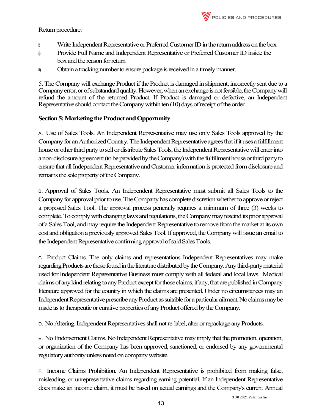#### Return procedure:

- i) Write Independent Representative or Preferred Customer ID in the return address on the box
- i) Provide Full Name and Independent Representative or Preferred Customer ID inside the box and the reason for return
- i) Obtain a tracking number to ensure package is received in a timely manner.

5. The Company will exchange Product if the Product is damaged in shipment, incorrectly sent due to a Companyerror, or of substandard quality. However, when an exchange is not feasible, the Company will refund the amount of the returned Product. If Product is damaged or defective, an Independent Representative should contact the Company within ten (10) days of receipt of the order.

## **Section 5: Marketing the Product and Opportunity**

A. Use of Sales Tools. An Independent Representative may use only Sales Tools approved by the Company for an Authorized Country. The Independent Representative agrees that if it uses a fulfillment house or other third party to sell or distribute Sales Tools, the Independent Representative will enter into a non-disclosure agreement (to be provided by the Company) with the fulfillment house or third party to ensure that all Independent Representative and Customer information is protected from disclosure and remains the sole property of the Company.

B. Approval of Sales Tools. An Independent Representative must submit all Sales Tools to the Company for approval prior to use. The Company has complete discretion whether to approve or reject a proposed Sales Tool. The approval process generally requires a minimum of three (3) weeks to complete. To comply with changing lawsand regulations, the Company may rescindits prior approval of a Sales Tool, and may require the Independent Representative to remove fromthe market at its own cost and obligation a previously approved Sales Tool. If approved, the Company willissue anemail to the Independent Representative confirming approval of said Sales Tools.

C. Product Claims. The only claims and representations Independent Representatives may make regardingProducts are those found in the literature distributed by the Company. Any third-party material used for Independent Representative Business must comply with all federal and local laws. Medical claims of any kind relating to any Product except for those claims, if any, that are published in Company literature approved for the country in which the claims are presented. Under no circumstances may an Independent Representative prescribe any Product as suitable for a particular ailment. No claims may be made as to therapeutic or curative properties of any Product offered by the Company.

D. No Altering. Independent Representatives shall not re-label, alter or repackage any Products.

E. No Endorsement Claims. No Independent Representative may imply that the promotion, operation, or organization of the Company has been approved, sanctioned, or endorsed by any governmental regulatoryauthority unless noted on company website.

F. Income Claims Prohibition. An Independent Representative is prohibited from making false, misleading, or unrepresentative claims regarding earning potential. If an Independent Representative does make an income claim, it must be based on actual earnings and the Company's current Annual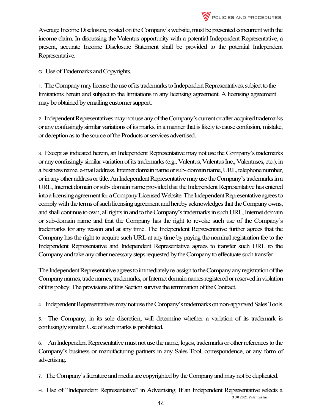Average Income Disclosure, posted on the Company's website, must be presented concurrent with the income claim. In discussing the Valentus opportunity with a potential Independent Representative, a present, accurate Income Disclosure Statement shall be provided to the potential Independent Representative.

G. Use of Trademarks and Copyrights.

1. The Company may license the use of its trademarks to Independent Representatives, subject to the limitations herein and subject to the limitations in any licensing agreement. A licensing agreement may be obtained by emailing customer support.

2. Independent Representatives may not use any of the Company's currentor after acquired trademarks or any confusingly similar variations of its marks, in a manner thatis likelyto cause confusion, mistake, or deception as to the source of the Products or services advertised.

3. Except as indicated herein, an Independent Representative may not use the Company's trademarks or any confusingly similar variation of its trademarks (e.g., Valentus, Valentus Inc., Valentuses, etc.), in a business name, e-mail address, Internet domain name orsub-domain name, URL, telephone number, or inany other address or title. An Independent Representative may use the Company's trademarks in a URL, Internet domain or sub-domain name provided that the Independent Representative has entered intoa licensing agreement for a Company Licensed Website. The Independent Representative agrees to comply with the terms of such licensing agreement and hereby acknowledges that the Company owns, andshall continue to own, all rights in and to the Company's trademarks in such URL, Internet domain or sub-domain name and that the Company has the right to revoke such use of the Company's trademarks for any reason and at any time. The Independent Representative further agrees that the Company hasthe right to acquire such URL at any time by paying the nominal registration fee to the Independent Representative and Independent Representative agrees to transfer such URL to the Company and take any other necessary steps requested by the Company to effectuate such transfer.

The Independent Representative agrees to immediately re-assign to the Company anyregistration of the Company names, trade names, trademarks, or Internet domain names registered or reserved in violation of this policy. The provisions of this Section survive the termination of the Contract.

4. Independent Representatives may not use the Company's trademarks on non-approved Sales Tools.

5. The Company, in its sole discretion, will determine whether a variation of its trademark is confusingly similar. Use of such marks is prohibited.

6. An Independent Representative must not use the name, logos, trademarks or other references to the Company's business or manufacturing partners in any Sales Tool, correspondence, or any form of advertising.

7. The Company's literature and media are copyrighted by the Company and may not be duplicated.

H. Use of "Independent Representative" in Advertising. If an Independent Representative selects a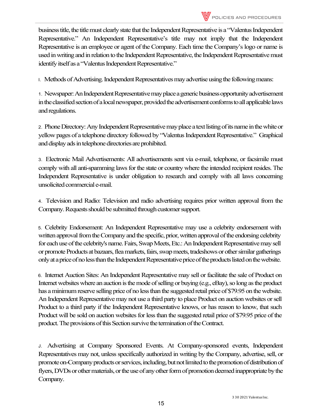

I. Methods of Advertising. Independent Representatives may advertise using the following means:

1. Newspaper: An Independent Representative may place a generic business opportunity advertisement in the classified section of a local newspaper, provided the advertisement conforms to all applicablelaws and regulations.

2. Phone Directory: Any Independent Representativemay place a text listing of its name in the white or yellow pages of a telephone directory followed by "Valentus Independent Representative." Graphical and display ads in telephone directories are prohibited.

3. Electronic Mail Advertisements: All advertisements sent via e-mail, telephone, or facsimile must comply with all anti-spamming laws for the state or country where the intended recipient resides. The Independent Representative is under obligation to research and comply with all laws concerning unsolicited commercial e-mail.

4. Television and Radio: Television and radio advertising requires prior written approval from the Company. Requests should be submitted through customer support.

5. Celebrity Endorsement: An Independent Representative may use a celebrity endorsement with written approval from the Company and the specific, prior, written approval of the endorsing celebrity for each use of the celebrity's name. Fairs, Swap Meets, Etc.: An Independent Representative may sell or promote Products atbazaars, fleamarkets, fairs, swap meets, tradeshows or other similar gatherings only at a price of no less than the Independent Representative price of the products listed on the website.

6. Internet Auction Sites: An Independent Representative may sell or facilitate the sale of Product on Internet websites where an auction is the mode of selling or buying (e.g., eBay), so long as the product has a minimum reserve selling price of no less than the suggested retail price of \$79.95 on the website. An Independent Representative may not use a third party to place Product on auctionwebsites or sell Product to a third party if the Independent Representative knows, or has reason to know, that such Product will be sold on auction websites for less than the suggested retail price of \$79.95 price of the product. The provisions of this Section survive the termination of the Contract.

J. Advertising at Company Sponsored Events. At Company-sponsored events, Independent Representatives may not, unless specifically authorized in writing by the Company, advertise, sell, or promote on-Company products or services, including, but not limited to the promotion of distribution of flyers, DVDs or other materials, or the use of any other form of promotion deemed inappropriate by the Company.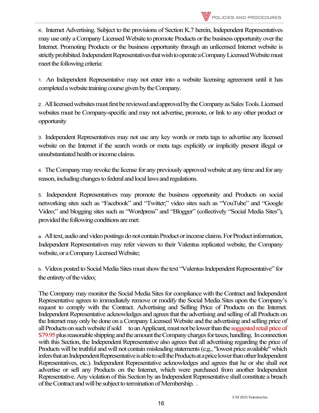1. An Independent Representative may not enter into a website licensing agreement until it has completed a website training course given by the Company.

2. All licensed websites must first be reviewed and approved by the Company as Sales Tools. Licensed websites must be Company-specific and may not advertise, promote, or link to any other product or opportunity

3. Independent Representatives may not use any key words or meta tags to advertise any licensed website on the Internet if the search words or meta tags explicitly or implicitly present illegal or unsubstantiated health or income claims.

4. The Company may revoke the license for any previously approved website at any time and for any reason, including changes to federal and local laws and regulations.

5. Independent Representatives may promote the business opportunity and Products on social networking sites such as "Facebook" and "Twitter;" video sites such as "YouTube" and "Google Video;" and blogging sites such as "Wordpress" and "Blogger" (collectively "Social Media Sites"), provided the following conditions are met:

a. All text, audio and video postings do not contain Product or income claims. For Product information, Independent Representatives may refer viewers to their Valentus replicated website, the Company website, or a Company Licensed Website;

b. Videos posted to Social Media Sites must show the text "Valentus Independent Representative" for the entirety of the video;

The Company may monitor the Social Media Sites for compliance with the Contract and Independent Representative agrees to immediately remove or modify the Social Media Sites upon the Company's request to comply with the Contract. Advertising and Selling Price of Products on the Internet. Independent Representative acknowledges and agrees that the advertising and selling of all Products on the Internet may only be done on a Company Licensed Website and the advertising and selling price of all Products on such website if sold to an Applicant, must not be lowerthan the suggested retail price of \$79.95 plus reasonable shipping and the amount the Company charges for taxes, handling. In connection with this Section, the Independent Representative also agrees that all advertising regarding the price of Products will be truthful and will not contain misleading statements (e.g., "lowest price available" which infers that an Independent Representative is able to sell the Products at a price lower than other Independent Representatives, etc.). Independent Representative acknowledges and agrees that he or she shall not advertise or sell any Products on the Internet, which were purchased from another Independent Representative. Any violation of this Section by an Independent Representative shall constitute a breach ofthe Contract and will be subject to termination of Membership. .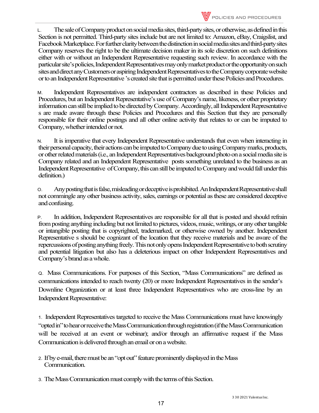

L. The sale of Company product on social media sites, third-party sites, or otherwise, as defined in this Section is not permitted. Third-party sites include but are not limited to: Amazon, eBay, Craigslist, and Facebook Marketplace. For further clarity between the distinction in social media sites and third-party sites Company reserves the right to be the ultimate decision maker in its sole discretion on such definitions either with or without an Independent Representative requesting such review. In accordance with the particular site's policies, Independent Representatives may only market product or the opportunity on such sites and direct any Customers or aspiring Independent Representatives to the Company corporate website or to an Independent Representative 's created site that is permitted under these Policies and Procedures.

M. Independent Representatives are independent contractors as described in these Policies and Procedures, but an Independent Representative's use of Company's name, likeness, or other proprietary information can still be implied to be directed by Company. Accordingly, all Independent Representative s are made aware through these Policies and Procedures and this Section that they are personally responsible for their online postings and all other online activity that relates to or can be imputed to Company, whether intended or not.

N. It is imperative that every Independent Representative understands that even when interacting in their personal capacity, their actions can be imputed to Company due to using Company marks, products, or other related materials (i.e., an Independent Representatives background photo on a social media site is Company related and an Independent Representative posts something unrelated to the business as an Independent Representative of Company, this can still be imputed to Company and would fall under this definition.)

O. Any posting that is false, misleading or deceptive is prohibited. An Independent Representative shall not commingle any other business activity, sales, earnings or potential as these are considered deceptive and confusing.

P. In addition, Independent Representatives are responsible for all that is posted and should refrain from posting anything including but not limited to pictures, videos, music, writings, or any other tangible or intangible posting that is copyrighted, trademarked, or otherwise owned by another. Independent Representative s should be cognizant of the location that they receive materials and be aware of the repercussions of posting anything freely. This not only opens Independent Representative to both scrutiny and potential litigation but also has a deleterious impact on other Independent Representatives and Company's brand as a whole.

Q. Mass Communications. For purposes of this Section, "Mass Communications" are defined as communications intended to reach twenty (20) or more Independent Representatives in the sender's Downline Organization or at least three Independent Representatives who are cross-line by an Independent Representative:

1. Independent Representatives targeted to receive the Mass Communications must have knowingly "opted in" to hear or receive the Mass Communication through registration (if the Mass Communication will be received at an event or webinar); and/or through an affirmative request if the Mass Communication is delivered through an email or on a website.

- 2. If by e-mail, there must be an "opt out" feature prominently displayed in the Mass Communication.
- 3. The Mass Communication must comply with the terms of this Section.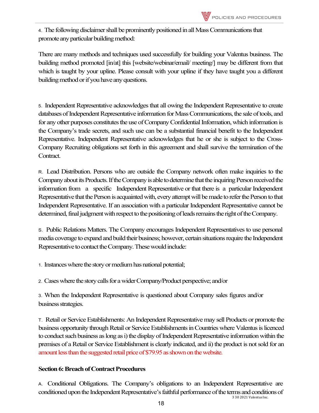4. The following disclaimer shall be prominently positioned in all MassCommunications that promote any particular building method:

There are many methods and techniques used successfully for building your Valentus business. The building method promoted [in/at] this [website/webinar/email/ meeting/] may be different from that which is taught by your upline. Please consult with your upline if they have taught you a different building method or if you have any questions.

5. Independent Representative acknowledges that all owing the Independent Representative to create databases of Independent Representative information for Mass Communications, the sale of tools, and for any other purposes constitutes the use of Company Confidential Information, which information is the Company's trade secrets, and such use can be a substantial financial benefit to the Independent Representative. Independent Representative acknowledges that he or she is subject to the Cross-Company Recruiting obligations set forth in this agreement and shall survive the termination of the Contract.

R. Lead Distribution. Persons who are outside the Company network often make inquiries to the Company about its Products. If the Company is able to determine that the inquiring Person received the information from a specific Independent Representative or that there is a particular Independent Representative that the Person is acquainted with, every attempt will be made to refer the Person to that Independent Representative. If an association with a particular Independent Representative cannot be determined, final judgment with respect to the positioning of leads remains the right of the Company.

S. Public Relations Matters. The Company encourages Independent Representatives to use personal media coverage to expand and build their business; however, certain situations require the Independent Representative to contact the Company. These would include:

1. Instances where the story or medium has national potential;

2. Cases where the story calls for a wider Company/Product perspective; and/or

3. When the Independent Representative is questioned about Company sales figures and/or business strategies.

T. Retail or Service Establishments: An Independent Representative may sell Products or promote the business opportunity through Retail or Service Establishments in Countrieswhere Valentus is licenced to conduct such business as long as i) the display of Independent Representative information within the premises of a Retail or Service Establishment is clearly indicated, and ii) the product is not sold for an amount less than the suggested retail price of \$79.95 as shown on the website.

## **Section 6: Breach of Contract Procedures**

A. Conditional Obligations. The Company's obligations to an Independent Representative are conditionedupon the Independent Representative's faithful performance of the terms and conditions of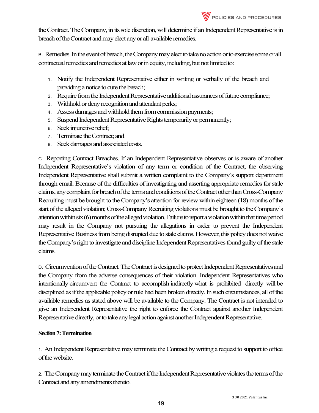theContract. The Company, in its sole discretion, will determine if an Independent Representative is in breach of the Contract and may elect any or all-available remedies.

B. Remedies. In the event of breach, the Company may elect to take no action or to exercise some or all contractual remedies and remedies at law or in equity, including, but not limited to:

- 1. Notify the Independent Representative either in writing or verbally of the breach and providing a notice to cure the breach;
- 2. Require from the Independent Representative additional assurances of future compliance;
- 3. Withhold or deny recognition and attendant perks;
- 4. Assess damages and withhold them from commission payments;
- 5. Suspend Independent Representative Rights temporarily or permanently;
- 6. Seek injunctive relief;
- 7. Terminate the Contract; and
- 8. Seek damages and associated costs.

C. Reporting Contract Breaches. If an Independent Representative observes or is aware of another Independent Representative's violation of any term or condition of the Contract, the observing Independent Representative shall submit a written complaint to the Company's support department through email. Because of the difficulties of investigating and asserting appropriate remedies for stale claims, any complaint for breach of the terms and conditions of the Contract other than Cross-Company Recruiting must be brought to the Company's attention for review within eighteen (18) months of the start of the alleged violation; Cross-Company Recruiting violations must be brought to the Company's attention within six (6) months of the alleged violation. Failure to report a violation within that time period may result in the Company not pursuing the allegations in order to prevent the Independent Representative Business from being disrupted due to stale claims. However, this policy does not waive the Company's right to investigate and discipline Independent Representatives found guilty of the stale claims.

D. Circumvention of the Contract. The Contract is designed to protect Independent Representatives and the Company from the adverse consequences of their violation. Independent Representatives who intentionally circumvent the Contract to accomplish indirectly what is prohibited directly will be disciplined as if the applicable policy or rule had been broken directly. In such circumstances, all of the available remedies as stated above will be available to the Company. The Contract is not intended to give an Independent Representative the right to enforce the Contract against another Independent Representative directly, or to take any legal action against another Independent Representative.

## **Section7: Termination**

1. An Independent Representative may terminate the Contract by writing a request to support to office of thewebsite.

2. The Company may terminate the Contract if the Independent Representative violates the terms of the Contract and any amendments thereto.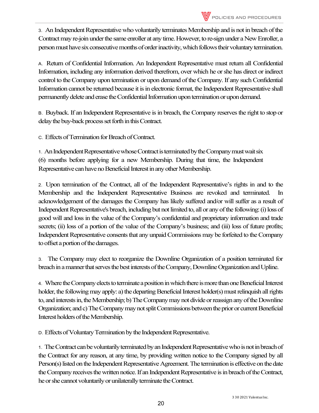3. An Independent Representative who voluntarily terminates Membership and is not in breach of the Contract may re-join under the same enroller at any time. However, to re-sign under a New Enroller, a person must have six consecutive months of orderinactivity, which follows their voluntary termination.

A. Return of Confidential Information. An Independent Representative must return all Confidential Information, including any information derived therefrom, over which he or she has direct or indirect control to the Company upon termination or upon demand of the Company. If any such Confidential Information cannot be returned because it is in electronic format, the Independent Representative shall permanently delete and erase the Confidential Information upon termination or upon demand.

B. Buyback. If an Independent Representative is in breach, the Company reserves the right to stop or delaythe buy-back process set forth in this Contract.

C. Effects of Termination for Breach of Contract.

1. An Independent Representative whose Contract is terminated by the Company must wait six (6) months before applying for a new Membership. During that time, the Independent Representative can have no Beneficial Interest in any other Membership.

2. Upon termination of the Contract, all of the Independent Representative's rights in and to the Membership and the Independent Representative Business are revoked and terminated. In acknowledgement of the damages the Company has likely suffered and/or will suffer as a result of Independent Representative's breach, including but not limited to, all or any of the following:(i) loss of good will and loss in the value of the Company's confidential and proprietary information and trade secrets; (ii) loss of a portion of the value of the Company's business; and (iii) loss of future profits; Independent Representative consents that any unpaid Commissions may be forfeited to the Company to offset a portion of the damages.

3. The Company may elect to reorganize the Downline Organization of a position terminated for breach in a manner that serves the best interests of the Company, Downline Organizationand Upline.

4. Where the Company elects to terminate aposition in which there is morethan one Beneficial Interest holder, the following may apply: a) the departing Beneficial Interest holder(s) must relinquish all rights to, and interests in, the Membership; b) The Company may not divide or reassign any of the Downline Organization; and c) The Company may not split Commissions between the prior or current Beneficial Interest holders of the Membership.

D. Effects of Voluntary Termination by the Independent Representative.

1. The Contract can be voluntarily terminated by an Independent Representative who isnot in breach of the Contract for any reason, at any time, by providing written notice to the Company signed by all Person(s) listed on the Independent Representative Agreement. The termination is effective on the date the Company receives the written notice. If an Independent Representative is in breach of the Contract, he or she cannot voluntarily or unilaterally terminate the Contract.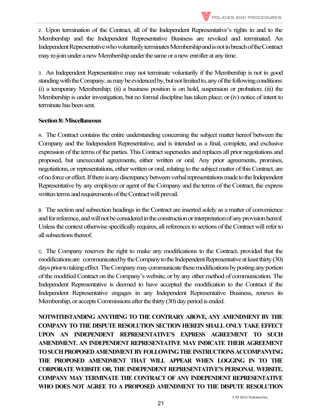2. Upon termination of the Contract, all of the Independent Representative's rights in and to the Membership and the Independent Representative Business are revoked and terminated. An Independent Representative who voluntarily terminates Membership and is not in breach of the Contract may re-join under a new Membership under the same or a new enroller at any time.

3. An Independent Representative may not terminate voluntarily if the Membership is not in good standing with the Company, as may be evidenced by, but not limited to, any of the following conditions: (i) a temporary Membership; (ii) a business position is on hold, suspension or probation; (iii) the Membership is under investigation, but no formal discipline has taken place; or (iv) notice of intent to terminate has been sent.

## **Section 8: Miscellaneous**

A. The Contract contains the entire understanding concerning the subject matter hereof between the Company and the Independent Representative, and is intended as a final, complete, and exclusive expression of the terms of the parties. This Contract supersedes and replaces all prior negotiations and proposed, but unexecuted agreements, either written or oral. Any prior agreements, promises, negotiations, or representations, either written or oral, relating to the subject matter of this Contract, are of no force or effect. If there is any discrepancy between verbal representations made to the Independent Representative by any employee or agent of the Company and the terms of the Contract, the express written terms and requirements of the Contract will prevail.

B. The section and subsection headings in the Contract are inserted solely as a matter of convenience and for reference, and will not be considered in the construction or interpretation of any provision hereof. Unless the context otherwise specifically requires, all references to sections of the Contract will refer to all subsections thereof.

C. The Company reserves the right to make any modifications to the Contract, provided that the modifications are communicated by the Company to the Independent Representative at least thirty (30) days prior to taking effect. The Company may communicate these modifications by posting any portion of the modified Contract on the Company's website, or by any other method of communication. The Independent Representative is deemed to have accepted the modification to the Contract if the Independent Representative engages in any Independent Representative Business, renews its Membership, or accepts Commissions after the thirty(30) day period is ended.

**NOTWITHSTANDING ANYTHING TO THE CONTRARY ABOVE, ANY AMENDMENT BY THE COMPANY TO THE DISPUTE RESOLUTION SECTION HEREIN SHALL ONLY TAKE EFFECT UPON AN INDEPENDENT REPRESENTATIVE'S EXPRESS AGREEMENT TO SUCH AMENDMENT. AN INDEPENDENT REPRESENTATIVE MAY INDICATE THEIR AGREEMENT TO SUCH PROPOSED AMENDMENT BY FOLLOWING THE INSTRUCTIONS ACCOMPANYING THE PROPOSED AMENDMENT THAT WILL APPEAR WHEN LOGGING IN TO THE CORPORATE WEBSITE OR, THE INDEPENDENT REPRESENTATIVE'S PERSONAL WEBSITE. COMPANY MAY TERMINATE THE CONTRACT OF ANY INDEPENDENT REPRESENTATIVE WHO DOES NOT AGREE TO A PROPOSED AMENDMENT TO THE DISPUTE RESOLUTION**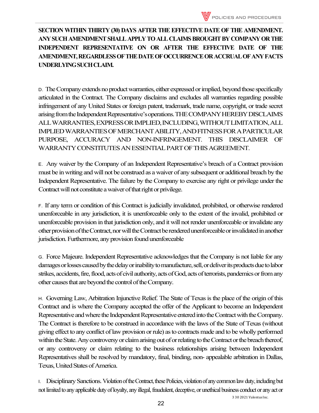

**SECTION WITHIN THIRTY (30) DAYS AFTER THE EFFECTIVE DATE OF THE AMENDMENT. ANY SUCH AMENDMENT SHALL APPLY TO ALL CLAIMS BROUGHT BY COMPANY OR THE INDEPENDENT REPRESENTATIVE ON OR AFTER THE EFFECTIVE DATE OF THE AMENDMENT, REGARDLESS OF THE DATE OF OCCURRENCE OR ACCRUAL OF ANY FACTS UNDERLYING SUCH CLAIM.**

D. The Company extends no product warranties, either expressed or implied, beyond those specifically articulated in the Contract. The Company disclaims and excludes all warranties regarding possible infringement of any United States or foreign patent, trademark, trade name, copyright, or trade secret arising from the Independent Representative's operations. THE COMPANY HEREBY DISCLAIMS ALL WARRANTIES, EXPRESS OR IMPLIED, INCLUDING, WITHOUT LIMITATION, ALL IMPLIED WARRANTIES OF MERCHANT ABILITY, AND FITNESS FOR A PARTICULAR PURPOSE, ACCURACY AND NON-INFRINGEMENT. THIS DISCLAIMER OF WARRANTY CONSTITUTES AN ESSENTIAL PART OF THIS AGREEMENT.

E. Any waiver by the Company of an Independent Representative's breach of a Contract provision must be in writing and will not be construed as a waiver of any subsequent or additional breach by the Independent Representative. The failure by the Company to exercise any right or privilege under the Contract will not constitute a waiver of that right or privilege.

F. If any term or condition of this Contract is judicially invalidated, prohibited, or otherwise rendered unenforceable in any jurisdiction, it is unenforceable only to the extent of the invalid, prohibited or unenforceable provision in that jurisdiction only, and it will not render unenforceable or invalidate any other provision of the Contract, nor will the Contract be rendered unenforceable or invalidated in another jurisdiction. Furthermore, any provision found unenforceable

G. Force Majeure. Independent Representative acknowledges that the Company is not liable for any damages or losses caused by the delay or inability to manufacture, sell, or deliver its products due tolabor strikes, accidents, fire, flood, acts of civil authority, acts of God, acts of terrorists, pandemics or from any other causes that are beyond the control of the Company.

H. Governing Law, Arbitration Injunctive Relief. The State of Texas is the place of the origin of this Contract and is where the Company accepted the offer of the Applicant to become an Independent Representative and where the Independent Representative entered into the Contract with the Company. The Contract is therefore to be construed in accordance with the laws of the State of Texas (without giving effect to any conflict of law provision or rule) as to contracts made and to be wholly performed within the State. Any controversy or claim arising out of or relating to the Contract or the breach thereof, or any controversy or claim relating to the business relationships arising between Independent Representatives shall be resolved by mandatory, final, binding, non- appealable arbitration in Dallas, Texas, United States of America.

I. Disciplinary Sanctions. Violation of the Contract, these Policies, violation of any common law duty, including but not limited to any applicable duty of loyalty, any illegal, fraudulent, deceptive, or unethical business conduct or any act or

3 30 2021 Valentus Inc.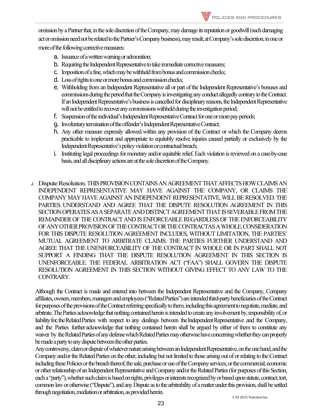omission by a Partner that, in the sole discretion of the Company, may damage its reputation or goodwill (such damaging act or omission need not be related to the Partner's Companybusiness), may result, at Company's sole discretion, in one or more of the following corrective measures:

- a. Issuance of a written warning oradmonition;
- b. Requiring the Independent Representative to take immediate corrective measures;
- c. Imposition of a fine, which may be withheld from bonus and commission checks;
- d. Loss of rights to one or more bonus and commission checks;
- e. Withholding from an Independent Representative all or part of the Independent Representative's bonuses and commissions during the period that the Company is investigating any conduct allegedly contrary to the Contract. If an Independent Representative's business is cancelled for disciplinary reasons, the Independent Representative will not be entitled to recover any commissions withheld during the investigation period;
- f. Suspension of the individual's Independent Representative Contract for one or more pay periods;
- g. Involuntary termination of the offender's Independent RepresentativeContract;
- h. Any other measure expressly allowed within any provision of the Contract or which the Company deems practicable to implement and appropriate to equitably resolve injuries caused partially or exclusively by the Independent Representative's policy violation or contractual breach;
- i. Instituting legal proceedings for monetary and/or equitable relief. Each violation is reviewed on a case-by-case basis, and all disciplinary actions are at the sole discretion of the Company.
- J. Dispute Resolution. THIS PROVISION CONTAINS AN AGREEMENT THAT AFFECTS HOW CLAIMS AN INDEPENDENT REPRESENTATIVE MAY HAVE AGAINST THE COMPANY, OR CLAIMS THE COMPANY MAY HAVE AGAINST AN INDEPENDENT REPRESENTATIVE, WILL BE RESOLVED. THE PARTIES UNDERSTAND AND AGREE THAT THE DISPUTE RESOLUTION AGREEMENT IN THIS SECTION OPERATES AS A SEPARATE AND DISTINCT AGREEMENT THAT IS SEVERABLE FROM THE REMAINDER OF THE CONTRACT AND IS ENFORCEABLE REGARDLESS OF THE ENFORCEABILITY OF ANY OTHER PROVISION OF THE CONTRACTOR THE CONTRACTAS A WHOLE. CONSIDERATION FOR THIS DISPUTE RESOLUTION AGREEMENT INCLUDES, WITHOUT LIMITATION, THE PARTIES' MUTUAL AGREEMENT TO ARBITRATE CLAIMS. THE PARTIES FURTHER UNDERSTAND AND AGREE THAT THE UNENFORCEABILITY OF THE CONTRACT IN WHOLE OR IN PART SHALL NOT SUPPORT A FINDING THAT THE DISPUTE RESOLUTION AGREEMENT IN THIS SECTION IS UNENFORCEABLE. THE FEDERAL ARBITRATION ACT ("FAA") SHALL GOVERN THE DISPUTE RESOLUTION AGREEMENT IN THIS SECTION WITHOUT GIVING EFFECT TO ANY LAW TO THE CONTRARY.

Although the Contract is made and entered into between the Independent Representative and the Company, Company affiliates, owners, members, managers and employees ("Related Parties") are intended third-party beneficiaries of the Contract for purposes of the provisions of the Contract referring specifically to them, including this agreementto negotiate, mediate, and arbitrate. The Parties acknowledge that nothing contained herein is intended to create any involvement by, responsibility of, or liability for, the Related Parties with respect to any dealings between the Independent Representative and the Company, and the Parties further acknowledge that nothing contained herein shall be argued by either of them to constitute any waiver by the Related Parties of any defense which Related Parties may otherwise have concerning whether they can properly be made a party to any dispute between the other parties.

Any controversy, claim or dispute of whatever nature arising between an Independent Representative, on the one hand, and the Company and/or the Related Parties on the other, including but not limited to those arising out of or relating to the Contract including these Policies or the breach thereof, the sale, purchase or use of the Company services, or the commercial, economic or other relationship of an Independent Representative and Company and/or the Related Parties (for purposes of this Section, each a "party"), whether such claim is based on rights, privileges or interests recognized by or based upon statute, contract, tort, common law or otherwise ("Dispute"), and any Dispute as to the arbitrability of a matter under this provision, shall be settled through negotiation, mediation or arbitration, as provided herein.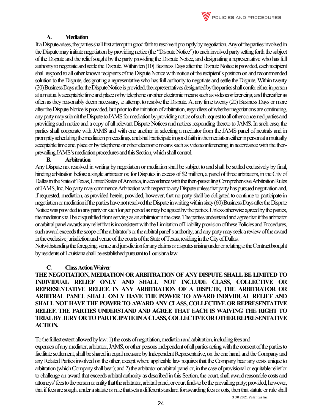#### **A. Mediation**

If a Dispute arises, the parties shall first attempt in good faith to resolve it promptly by negotiation. Any of the parties involved in the Dispute may initiate negotiation by providing notice (the "Dispute Notice") to each involved party setting forth the subject of the Dispute and the relief sought by the party providing the Dispute Notice, and designating a representative who has full authority to negotiate and settle the Dispute. Within ten (10) Business Days after the Dispute Notice is provided, each recipient shall respond to all other known recipients of the Dispute Notice with notice of the recipient's position on and recommended solution to the Dispute, designating a representative who has full authority to negotiate and settle the Dispute. Within twenty (20) Business Days after the Dispute Notice is provided, the representatives designated by the parties shall confer either in person at a mutually acceptable time and place or by telephone or other electronic means such as videoconferencing, and thereafter as often as they reasonably deem necessary, to attempt to resolve the Dispute. At any time twenty (20) Business Days or more after the Dispute Notice is provided, but prior to the initiation of arbitration, regardless of whether negotiations are continuing, any party may submit the Dispute to JAMS formediation by providing notice of such request to all other concerned parties and providing such notice and a copy of all relevant Dispute Notices and notices responding thereto to JAMS. In such case, the parties shall cooperate with JAMS and with one another in selecting a mediator from the JAMS panel of neutrals and in promptly scheduling the mediation proceedings, and shall participate in good faith in the mediation either in person at a mutually acceptable time and place or by telephone or other electronic means such as videoconferencing, in accordance with the thenprevailing JAMS's mediation procedures and this Section, which shall control.

#### **B. Arbitration**

Any Dispute not resolved in writing by negotiation or mediation shall be subject to and shall be settled exclusively by final, binding arbitration before a single arbitrator or, for Disputes in excess of \$2 million, a panel of three arbitrators, in the City of Dallasin the State of Texas, United States of America, in accordance with the then-prevailing Comprehensive Arbitration Rules of JAMS, Inc. No party may commence Arbitration with respect to any Dispute unless that party has pursued negotiation and, if requested, mediation, as provided herein, provided, however, that no party shall be obligated to continue to participate in negotiation or mediation if the parties have not resolved the Dispute in writing within sixty (60) Business Days after the Dispute Notice was provided to any party or such longer period as may be agreed by the parties. Unless otherwise agreed by the parties, the mediator shall be disqualified from serving as an arbitrator in the case. The parties understand and agree that if the arbitrator or arbitral panel awards any relief that is inconsistent with the Limitation of Liability provision of these Policies and Procedures, such award exceeds the scope of the arbitrator's or the arbitral panel's authority, and any party may seek a review of the award in the exclusive jurisdiction and venue of the courts of the State of Texas, residingin the City of Dallas.

Notwithstanding the foregoing, venue and jurisdiction for any claims or disputes arising under or relating to the Contract brought by residents of Louisiana shall be established pursuant to Louisiana law.

## **C. Class Action Waiver**

**THE NEGOTIATION, MEDIATION OR ARBITRATION OF ANY DISPUTE SHALL BE LIMITED TO INDIVIDUAL RELIEF ONLY AND SHALL NOT INCLUDE CLASS, COLLECTIVE OR REPRESENTATIVE RELIEF. IN ANY ARBITRATION OF A DISPUTE, THE ARBITRATOR OR ARBITRAL PANEL SHALL ONLY HAVE THE POWER TO AWARD INDIVIDUAL RELIEF AND SHALL NOT HAVE THE POWER TO AWARD ANY CLASS, COLLECTIVE OR REPRESENTATIVE RELIEF. THE PARTIES UNDERSTAND AND AGREE THAT EACH IS WAIVING THE RIGHT TO TRIAL BY JURY OR TO PARTICIPATE IN A CLASS, COLLECTIVE OR OTHER REPRESENTATIVE ACTION.** 

To the fullest extent allowed by law: 1) the costs of negotiation, mediation and arbitration, including fees and expenses of any mediator, arbitrator, JAMS, or other persons independent of all parties acting with the consent of the parties to facilitate settlement, shall be shared in equal measure by Independent Representative, on the one hand, and the Company and any Related Parties involved on the other, except where applicable law requires that the Company bear any costs unique to arbitration (which Company shall bear); and 2) the arbitrator or arbitral panel or, in the case of provisional or equitable relief or to challenge an award that exceeds arbitral authority as described in this Section, the court, shall award reasonable costs and attorneys' fees to the person or entity that the arbitrator, arbitral panel, or court finds to be the prevailing party; provided, however, that if fees are sought under a statute or rule that sets a different standard for awarding fees or cots, then that statute or rule shall

3 30 2021 Valentus Inc.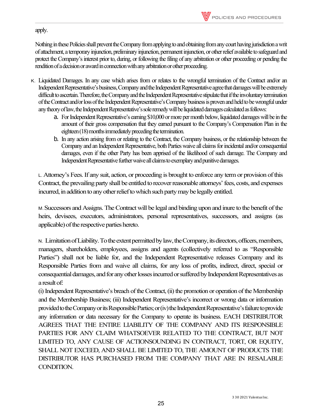## apply.

Nothing in these Policies shall prevent the Company from applying to and obtaining from any court having jurisdiction a writ of attachment, a temporary injunction, preliminary injunction, permanent injunction, or other relief available to safeguard and protect the Company's interest prior to, during, or following the filing of any arbitration or other proceeding or pending the rendition of a decision or award in connection with any arbitration or other proceeding.

- K. Liquidated Damages. In any case which arises from or relates to the wrongful termination of the Contract and/or an Independent Representative's business, Company and the Independent Representative agree that damages will be extremely difficult to ascertain. Therefore, the Company and the Independent Representative stipulate that if the involuntary termination of the Contract and/or loss of the Independent Representative's Company business is proven and held to be wrongful under any theory of law, the Independent Representative's sole remedy will be liquidated damages calculated as follows:
	- a. For Independent Representative's earning \$10,000 or more per month below, liquidated damages will be in the amount of their gross compensation that they earned pursuant to the Company's Compensation Plan in the eighteen(18) months immediately preceding the termination.
	- b. In any action arising from or relating to the Contract, the Company business, or the relationship between the Company and an Independent Representative, both Parties waive all claims for incidental and/or consequential damages, even if the other Party has been apprised of the likelihood of such damage. The Company and Independent Representative further waive all claims to exemplary and punitive damages.

L.Attorney's Fees. If any suit, action, or proceeding is brought to enforce any term or provision of this Contract, the prevailing party shall be entitled to recover reasonable attorneys' fees, costs, and expenses incurred, in addition to any other relief to which such party maybe legally entitled.

M.Successors and Assigns. The Contract will be legal and binding upon and inure to the benefit of the heirs, devisees, executors, administrators, personal representatives, successors, and assigns (as applicable) of the respective parties hereto.

N. Limitation of Liability. To the extent permitted by law, the Company, its directors, officers, members, managers, shareholders, employees, assigns and agents (collectively referred to as "Responsible Parties") shall not be liable for, and the Independent Representative releases Company and its Responsible Parties from and waive all claims, for any loss of profits, indirect, direct, special or consequential damages, and for any other losses incurred or suffered by Independent Representatives as a result of:

(i) Independent Representative's breach of the Contract, (ii) the promotion or operation of the Membership and the Membership Business; (iii) Independent Representative's incorrect or wrong data or information provided to the Company or its Responsible Parties; or (iv) the Independent Representative's failure to provide any information or data necessary for the Company to operate its business. EACH DISTRIBUTOR AGREES THAT THE ENTIRE LIABILITY OF THE COMPANY AND ITS RESPONSIBLE PARTIES FOR ANY CLAIM WHATSOEVER RELATED TO THE CONTRACT, BUT NOT LIMITED TO, ANY CAUSE OF ACTIONSOUNDING IN CONTRACT, TORT, OR EQUITY, SHALL NOT EXCEED, AND SHALL BE LIMITED TO, THE AMOUNT OF PRODUCTS THE DISTRIBUTOR HAS PURCHASED FROM THE COMPANY THAT ARE IN RESALABLE CONDITION.